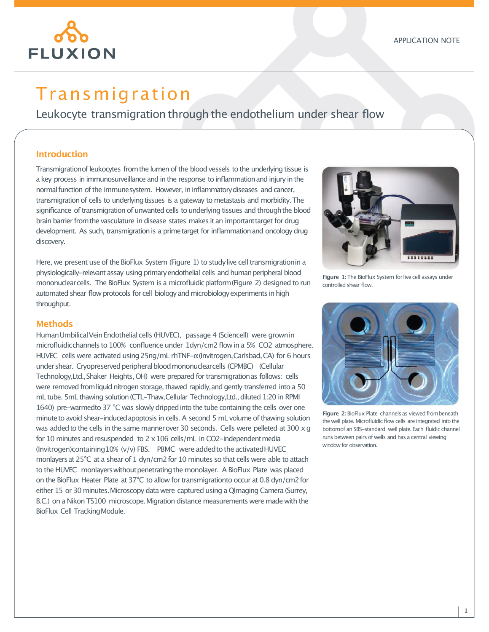

# **Transmigration**

Leukocyte transmigration through the endothelium under shear flow

### **Introduction**

Transmigrationof leukocytes fromthe lumen of the blood vessels to the underlying tissue is a key process in immunosurveillance and in the response to inflammationand injury in the normalfunction ofthe immunesystem. However, ininflammatorydiseases and cancer, transmigration of cells to underlying tissues is a gateway to metastasis and morbidity. The significance of transmigration of unwanted cells to underlying tissues and throughthe blood brain barrier fromthe vasculature in disease states makes it an importanttarget for drug development. As such, transmigration is a prime target for inflammation and oncology drug discovery.

Here, we present use of the BioFlux System (Figure 1) to studylive cell transmigrationin a physiologically-relevant assay using primary endothelial cells and human peripheral blood mononuclearcells. The BioFlux System is a microfluidic platform (Figure 2) designed to run automated shear flow protocols for cell biology and microbiology experiments in high throughput.



**Figure 1:** The BioFlux System for live cell assays under controlled shear flow.

### **Methods**

HumanUmbilicalVeinEndothelialcells (HUVEC), passage 4 (Sciencell) were grownin microfluidicchannels to 100% confluence under 1dyn/cm2 flow in a 5% CO2 atmosphere. HUVEC cells were activated using25ng/mL rhTNF-α(Invitrogen,Carlsbad,CA) for 6 hours under shear. Cryopreserved peripheral blood mononuclearcells (CPMBC) (Cellular Technology,Ltd.,Shaker Heights, OH) were prepared for transmigrationas follows: cells were removed fromliquid nitrogen storage, thawed rapidly,and gently transferred into a 50 mL tube. 5mL thawing solution (CTL-Thaw, Cellular Technology, Ltd., diluted 1:20 in RPMI 1640) pre-warmedto 37 °C was slowly dripped into the tube containing the cells over one minute to avoid shear-induced apoptosis in cells. A second 5 mL volume of thawing solution was added to the cells in the same manner over 30 seconds. Cells were pelleted at 300  $\times$  g for 10 minutes and resuspended to  $2 \times 106$  cells/mL in CO2-independent media (Invitrogen)containing10%  $(v/v)$  FBS. PBMC were added to the activated HUVEC monlayers at 25°C at a shear of 1 dyn/cm2 for 10 minutes so that cells were able to attach to the HUVEC monlayers without penetrating the monolayer. A BioFlux Plate was placed on the BioFlux Heater Plate at 37°C to allow for transmigrationto occur at 0.8 dyn/cm2for either 15 or 30 minutes. Microscopy data were captured using a QImaging Camera (Surrey, B.C.) on a Nikon TS100 microscope.Migration distance measurements were made with the BioFlux Cell Tracking Module.



**Figure** 2: BioFlux Plate channels as viewed from beneath the well plate. Microfluidic flow cells are integrated into the bottomof an SBS-standard well plate.Each fluidic channel runs between pairs of wells and has a central viewing window for observation.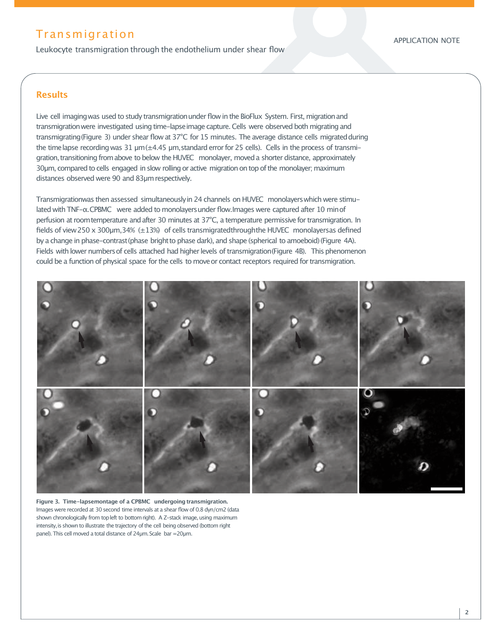## **Transmigration**

Leukocyte transmigration through the endothelium under shear flow

### **Results**

Live cell imaging was used to study transmigration under flow in the BioFlux System. First, migration and transmigration were investigated using time-lapse image capture. Cells were observed both migrating and transmigrating (Figure 3) under shear flow at 37°C for 15 minutes. The average distance cells migrated during the time lapse recording was 31  $\mu$ m ( $\pm$ 4.45  $\mu$ m, standard error for 25 cells). Cells in the process of transmigration, transitioning from above to below the HUVEC monolayer, moved a shorter distance, approximately 30µm, compared to cells engaged in slow rolling or active migration on top of the monolayer;maximum distances observed were 90 and 83µmrespectively.

Transmigrationwas then assessed simultaneouslyin 24 channels on HUVEC monolayerswhich were stimulated with TNF-α.CPBMC were added to monolayersunder flow.Images were captured after 10 minof perfusion at roomtemperature andafter 30 minutes at 37°C, a temperature permissivefor transmigration. In fields of view 250 x 300 $\mu$ m, 34% ( $\pm$ 13%) of cells transmigratedthroughthe HUVEC monolayersas defined by a change in phase-contrast(phase brightto phase dark), and shape (spherical to amoeboid)(Figure 4A). Fields with lower numbers of cells attached had higher levels of transmigration(Figure 4B). This phenomenon could be a function of physical space for the cells to move or contact receptors required for transmigration.



**Figure 3. Time-lapsemontage of a CPBMC undergoing transmigration.** Images were recorded at 30 second time intervals at a shear flow of 0.8 dyn/cm2 (data shown chronologically from top left to bottom right). A Z-stack image, using maximum intensity, is shown to illustrate the trajectory of the cell being observed (bottom right panel). This cell moved a total distance of 24µm. Scale bar = 20µm.